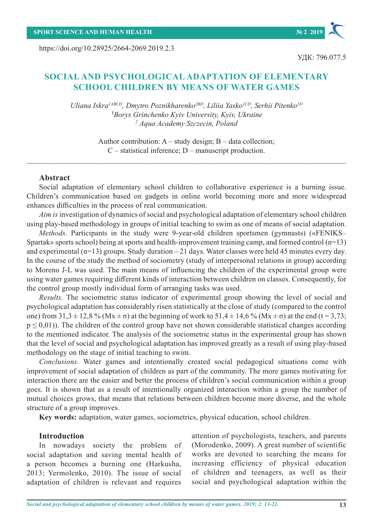https://doi.org/10.28925/2664-2069.2019.2.3

# **SOCIAL AND PSYCHOLOGICAL ADAPTATION OF ELEMENTARY SCHOOL CHILDREN BY MEANS OF WATER GAMES**

*Uliana Iskra1АBCD, Dmytro Poznikharenko2BD, Liliia Yasko1CD, Serhii Pitenko1D <sup>1</sup>Borys Grinchenko Kyiv University, Kyiv, Ukraine <sup>2</sup> Aqua Academy Szczecin, Poland*

> Author contribution:  $A$  – study design;  $B$  – data collection; C – statistical inference; D – manuscript production.

 $\_$  , and the set of the set of the set of the set of the set of the set of the set of the set of the set of the set of the set of the set of the set of the set of the set of the set of the set of the set of the set of th

### **Abstract**

Social adaptation of elementary school children to collaborative experience is a burning issue. Children's communication based on gadgets in online world becoming more and more widespread enhances difficulties in the process of real communication.

*Aim is*investigation of dynamics of social and psychological adaptation of elementary school children using play-based methodology in groups of initial teaching to swim as one of means of social adaptation.

*Methods.* Participants in the study were 9-year-old children sportsmen (gymnasts) («FENIKS– Spartak» sports school) being at sports and health-improvement training camp, and formed control (n=13) and experimental (n=13) groups. Study duration *–* 21 days. Water classes were held 45 minutes every day. In the course of the study the method of sociometry (study of interpersonal relations in group) according to Moreno J-L was used. The main means of influencing the children of the experimental group were using water games requiring different kinds of interaction between children on classes. Consequently, for the control group mostly individual form of arranging tasks was used.

*Results.* The sociometric status indicator of experimental group showing the level of social and psychological adaptation has considerably risen statistically at the close of study (compared to the control one) from  $31.3 \pm 12.8$  % (Mx  $\pm \sigma$ ) at the beginning of work to  $51.4 \pm 14.6$  % (Mx  $\pm \sigma$ ) at the end (t = 3,73;  $p \leq 0.01$ ). The children of the control group have not shown considerable statistical changes according to the mentioned indicator. The analysis of the sociometric status in the experimental group has shown that the level of social and psychological adaptation has improved greatly as a result of using play-based methodology on the stage of initial teaching to swim.

*Conclusions.* Water games and intentionally created social pedagogical situations come with improvement of social adaptation of children as part of the community. The more games motivating for interaction there are the easier and better the process of children's social communication within a group goes. It is shown that as a result of intentionally organized interaction within a group the number of mutual choices grows, that means that relations between children become more diverse, and the whole structure of a group improves.

**Key words:** adaptation, water games, sociometrics, physical education, school children.

## **Introduction**

In nowadays society the problem of social adaptation and saving mental health of a person becomes a burning one (Harkusha, 2013; Yermolenko, 2010). The issue of social adaptation of children is relevant and requires

attention of psychologists, teachers, and parents (Morodenko, 2009). A great number of scientific works are devoted to searching the means for increasing efficiency of physical education of children and teenagers, as well as their social and psychological adaptation within the

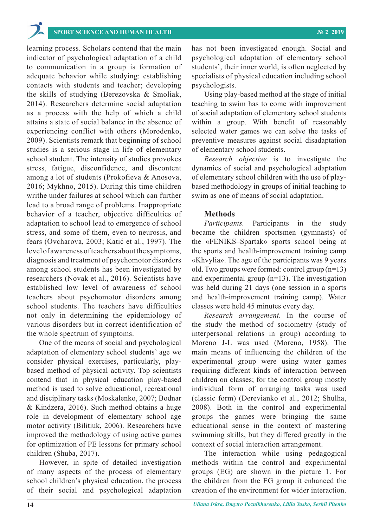learning process. Scholars contend that the main indicator of psychological adaptation of a child to communication in a group is formation of adequate behavior while studying: establishing contacts with students and teacher; developing the skills of studying (Berezovska & Smoliak, 2014). Researchers determine social adaptation as a process with the help of which a child attains a state of social balance in the absence of experiencing conflict with others (Morodenko, 2009). Scientists remark that beginning of school studies is a serious stage in life of elementary school student. The intensity of studies provokes stress, fatigue, disconfidence, and discontent among a lot of students (Prokofieva & Anosova, 2016; Mykhno, 2015). During this time children writhe under failures at school which can further lead to a broad range of problems. Inappropriate behavior of a teacher, objective difficulties of adaptation to school lead to emergence of school stress, and some of them, even to neurosis, and fears (Ovcharova, 2003; Katić et al., 1997). The level of awareness of teachers about the symptoms, diagnosis and treatment of psychomotor disorders among school students has been investigated by researchers (Novak et al., 2016). Scientists have established low level of awareness of school teachers about psychomotor disorders among school students. The teachers have difficulties not only in determining the epidemiology of various disorders but in correct identification of the whole spectrum of symptoms.

One of the means of social and psychological adaptation of elementary school students' age we consider physical exercises, particularly, playbased method of physical activity. Top scientists contend that in physical education play-based method is used to solve educational, recreational and disciplinary tasks (Moskalenko, 2007; Bodnar & Kindzera, 2016). Such method obtains a huge role in development of elementary school age motor activity (Bilitiuk, 2006). Researchers have improved the methodology of using active games for optimization of PE lessons for primary school children (Shuba, 2017).

However, in spite of detailed investigation of many aspects of the process of elementary school children's physical education, the process of their social and psychological adaptation

has not been investigated enough. Social and psychological adaptation of elementary school students', their inner world, is often neglected by specialists of physical education including school psychologists.

Using play-based method at the stage of initial teaching to swim has to come with improvement of social adaptation of elementary school students within a group. With benefit of reasonably selected water games we can solve the tasks of preventive measures against social disadaptation of elementary school students.

*Research objective* is to investigate the dynamics of social and psychological adaptation of elementary school children with the use of playbased methodology in groups of initial teaching to swim as one of means of social adaptation.

### **Methods**

*Participants.* Participants in the study became the children sportsmen (gymnasts) of the «FENIKS–Spartak» sports school being at the sports and health-improvement training camp «Khvylia». The age of the participants was 9 years old. Two groups were formed: control group (n=13) and experimental group (n=13). The investigation was held during 21 days (one session in a sports and health-improvement training camp). Water classes were held 45 minutes every day.

*Research arrangement.* In the course of the study the method of sociometry (study of interpersonal relations in group) according to Moreno J-L was used (Moreno, 1958). The main means of influencing the children of the experimental group were using water games requiring different kinds of interaction between children on classes; for the control group mostly individual form of arranging tasks was used (classic form) (Derevianko et al., 2012; Shulha, 2008). Both in the control and experimental groups the games were bringing the same educational sense in the context of mastering swimming skills, but they differed greatly in the context of social interaction arrangement.

The interaction while using pedagogical methods within the control and experimental groups (EG) are shown in the picture 1. For the children from the EG group it enhanced the creation of the environment for wider interaction.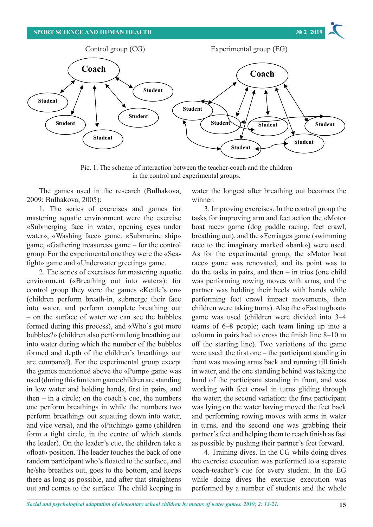# **SPORT SCIENCE AND HUMAN HEALTH and the wider interaction of wider interaction. We 2 2019**



 $\mathcal{L}_{\mathcal{L}}$  are shown in the picture 1. For the children from the  $\mathcal{L}_{\mathcal{L}}$ 

Pic. 1. The scheme of interaction between the teacher-coach and the children in the control and experimental groups.

The games used in the research (Bulhakova, 2009; Bulhakova, 2005):  $\frac{1}{2}$  winner.

1. The series of exercises and games for mastering aquatic environment were the exercise «Submerging face in water, opening eyes under water», «Washing face» game, «Submarine ship» bi game, «Gathering treasures» game – for the control group. For the experimental one they were the «Seafight» game and «Underwater greeting» game.

2. The series of exercises for mastering aquatic environment («Breathing out into water»): for control group they were the games «Kettle's on» (children perform breath-in, submerge their face into water, and perform complete breathing out – on the surface of water we can see the bubbles formed during this process), and «Who's got more bubbles?» (children also perform long breathing out into water during which the number of the bubbles formed and depth of the children's breathings out are compared). For the experimental group except front w the games mentioned above the «Pump» game was used (during this fun team game children are standing in low water and holding hands, first in pairs, and then – in a circle; on the coach's cue, the numbers one perform breathings in while the numbers two perform breathings out squatting down into water, and vice versa), and the «Pitching» game (children form a tight circle, in the centre of which stands the leader). On the leader's cue, the children take a «float» position. The leader touches the back of one 4. Training dives. In the CG while doing dives random participant who's floated to the surface, and he/she breathes out, goes to the bottom, and keeps there as long as possible, and after that straightens out and comes to the surface. The child keeping in

water the longest after breathing out becomes the winner.  $\frac{1}{2}$ 

The series of exercises and games for 3. Improving exercises. In the control group the istering aquatic environment were the exercise tasks for improving arm and feet action the «Motor ubmerging face in water, opening eyes under boat race» game (dog paddle racing, feet crawl, breathing out), and the «Ferriage» game (swimming Gathering treasures» game – for the control race to the imaginary marked «bank») were used. oup. For the experimental one they were the «Sea- As for the experimental group, the «Motor boat ht» game and «Underwater greeting» game. The surface of game was renovated, and its point was to 2. The series of exercises for mastering aquatic do the tasks in pairs, and then  $-$  in trios (one child vironment («Breathing out into water»): for was performing rowing moves with arms, and the ntrol group they were the games «Kettle's on» partner was holding their heels with hands while hildren perform breath-in, submerge their face performing feet crawl impact movements, then o water, and perform complete breathing out children were taking turns). Also the «Fast tugboat» on the surface of water we can see the bubbles game was used (children were divided into 3–4 med during this process), and «Who's got more teams of 6–8 people; each team lining up into a bbles?» (children also perform long breathing out column in pairs had to cross the finish line 8–10 m o water during which the number of the bubbles off the starting line). Two variations of the game med and depth of the children's breathings out were used: the first one – the participant standing in front was moving arms back and running till finish es mentioned above the «Pump» game was in water, and the one standing behind was taking the ed (during this fun team game children are standing hand of the participant standing in front, and was low water and holding hands, first in pairs, and working with feet crawl in turns gliding through en – in a circle; on the coach's cue, the numbers the water; the second variation: the first participant e perform breathings in while the numbers two was lying on the water having moved the feet back rform breathings out squatting down into water, and performing rowing moves with arms in water d vice versa), and the «Pitching» game (children in turns, and the second one was grabbing their m a tight circle, in the centre of which stands partner's feet and helping them to reach finish as fast e leader). On the leader's cue, the children take a as possible by pushing their partner's feet forward.

4. Training dives. In the CG while doing dives idom participant who's floated to the surface, and the exercise execution was performed to a separate 'she breathes out, goes to the bottom, and keeps coach-teacher's cue for every student. In the EG while doing dives the exercise execution was performed by a number of students and the whole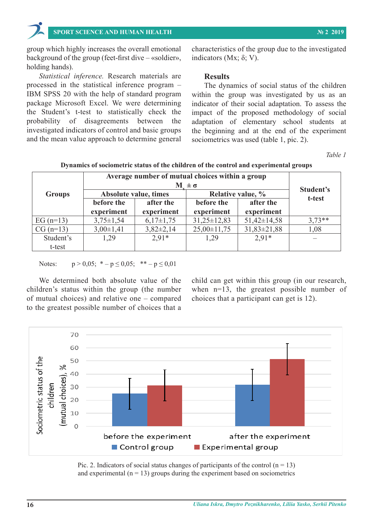group which highly increases the overall emotional characteristics of the group due to the investigated in vestigated in the indicators (Mx  $\alpha$ ). group which highly increases the overall emotional characteristics of the group due to the investigated

*Statistical inference.* Research materials are processed in the statistical inference program –<br>**REM** SPSS 20 with the help of standard are space. IBM SPSS 20 with the help of standard program package Microsoft Excel. We were determining indicator of their social adaptation. To assess the the Student's t-test to statistically check the impact of the proposed methodology of social probability of disagreements between the investigated indicators of control and basic groups and the mean value approach to determine general probability of disagreements between the adaptation of elementary school students at

background of the group (feet-first dive – «soldier», indicators (Mx;  $\delta$ ; V). indicators (Mx; δ; V).

# **Results**

The dynamics of social status of the children within the group was investigated by us as an indicator of their social adaptation. To assess the impact of the proposed methodology of social the beginning and at the end of the experiment sociometrics was used (table 1, pic. 2).

*Table 1* **Dynamics of sociometric status of the children of the control and experimental groups** 

| <b>Groups</b> | Average number of mutual choices within a group<br>$M \pm \sigma$ |                         |                          |                         |           |
|---------------|-------------------------------------------------------------------|-------------------------|--------------------------|-------------------------|-----------|
|               | Absolute value, times                                             |                         | Relative value, %        |                         | Student's |
|               | before the<br>experiment                                          | after the<br>experiment | before the<br>experiment | after the<br>experiment | t-test    |
|               |                                                                   |                         |                          |                         |           |
| $CG (n=13)$   | $3,00\pm1,41$                                                     | $3,82\pm2,14$           | $25,00\pm11,75$          | $31,83 \pm 21,88$       | 1,08      |
| Student's     | 1,29                                                              | $2.91*$                 | 1,29                     | $2.91*$                 |           |
| t-test        |                                                                   |                         |                          |                         |           |

# **Dynamics of sociometric status of the children of the control and experimental groups**

Notes:  $p > 0.05$ ;  ${}^{*}-p \le 0.05$ ;  ${}^{*}-p \le 0.01$ 

We determined both absolute value of the child can get within this group (in our research, children's status within the group (the number when  $n=13$ , the greatest possible number of We determined both absolute value of the children's status within the group (the number of mutual choices) and relative one – compared choices that a participant can get is 12). to the greatest possible number of choices that a

choices that a participant can get is 12).



Pic. 2. Indicators of social status changes of participants of the control  $(n = 13)$ and experimental  $(n = 13)$  groups during the experiment based on sociometrics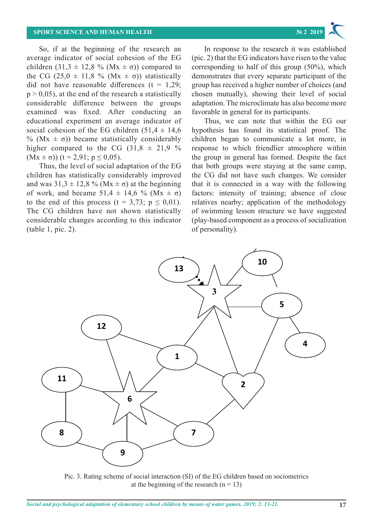So, if at the beginning of the research an average indicator of social cohesion of the EG children  $(31,3 \pm 12,8 \%$  (Mx  $\pm \sigma$ ) compared to corresponding to half of this group (50%), which the CG  $(25.0 \pm 11.8 \% (Mx \pm \sigma))$  statistically demonstrates that every separate participant of th did not have reasonable differences  $(t = 1.29;$  group has received a higher number of choices (an  $p > 0.05$ ), at the end of the research a statistically chosen mutually), showing their level of social considerable difference between the groups examined was fixed. After conducting an favorable in general for its participants. educational experiment an average indicator of Thus, we can note that within the EG ou social cohesion of the EG children  $(51,4 \pm 14,6)$  hypothesis has found its statistical proof. The % ( $Mx \pm \sigma$ )) became statistically considerably children beg higher compared to the CG  $(31.8 \pm 21.9 \%)$  $(Mx \pm \sigma)$ ) (t = 2,91; p  $\leq$  0,05). , if at the beginning of the research an average in response to the research it was established

Thus, the level of social adaptation of the EG children has statistically considerably improved the CG did not have such changes. We consider and was  $31.3 \pm 12.8$  % (Mx  $\pm \sigma$ ) at the beginning of work, and became 51,4  $\pm$  14,6 % (Mx  $\pm$   $\sigma$ ) factors: intensity of training; absence of clos to the end of this process  $(t = 3.73; p \le 0.01)$ . relatives nearby; application of the methodolog The CG children have not shown statistically of swimming lesson structure we have suggeste considerable changes according to this indicator (play-based component as a process of socializatio (table 1, pic. 2). table 1, pic. 2). Solution structure we have suggested (play-based component as a process of personality). of personality).

werage indicator of social cohesion of the EG  $\quad$  (pic. 2) that the EG indicators have risen to the value corresponding to half of this group (50%), which demonstrates that every separate participant of the group has received a higher number of choices (and chosen mutually), showing their level of social adaptation. The microclimate has also become more favorable in general for its participants.

Thus, we can note that within the EG our hypothesis has found its statistical proof. The children began to communicate a lot more, in compared to the CG  $(31.8 \pm 21.9 \%$  response to which friendlier atmosphere within  $Mx \pm \sigma$ ) (t = 2,91; p  $\leq$  0,05). the group in general has formed. Despite the fact Thus, the level of social adaptation of the EG that both groups were staying at the same camp, the CG did not have such changes. We consider us 31,3  $\pm$  12,8 % (Mx  $\pm$   $\sigma$ ) at the beginning that it is connected in a way with the following factors: intensity of training; absence of close relatives nearby; application of the methodology of swimming lesson structure we have suggested (play-based component as a process of socialization



Pic. 3. Rating scheme of social interaction (SI) of the EG children based on sociometrics at the beginning of the research  $(n = 13)$  $\mathcal{C}$  by social interaction (SI) of the EG children based on social interaction based on social interaction at  $\mathcal{C}$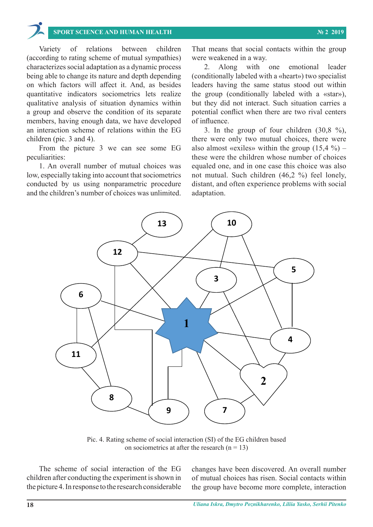Variety of relations between children (according to rating scheme of mutual sympathies) were weakened in a way. characterizes social adaptation as a dynamic process and allong within one emotional leader being able to change its nature and depth depending on which factors will affect it. And, as besides quantitative indicators sociometrics lets realize the group (co qualitative analysis of situation dynamics within a group and observe the condition of its separate members, having enough data, we have developed of influence. an interaction scheme of relations within the EG children (pic. 3 and 4).

From the picture 3 we can see some EG peculiarities:

1. An overall number of mutual choices was low, especially taking into account that sociometrics conducted by us using nonparametric procedure and the children's number of choices was unlimited. adaptation.

riety of relations between children That means that social contacts within the group were weakened in a way.

 $V$ ariety of relations between children (according to rating scheme of mutual sympathies) sympathies) sympathies)

2. Along with one emotional leader ble to change its nature and depth depending (conditionally labeled with a «heart») two specialist leaders having the same status stood out within the group (conditionally labeled with a «star»), nalysis of situation dynamics within but they did not interact. Such situation carries a o and observe the condition of its separate potential conflict when there are two rival centers of influence.

a scheme of relations within the EG  $\qquad$  3. In the group of four children (30,8 %), n (pic. 3 and 4). There were only two mutual choices, there were om the picture 3 we can see some EG also almost «exiles» within the group  $(15,4\%)$  – these were the children whose number of choices erall number of mutual choices was equaled one, and in one case this choice was also pecially taking into account that sociometrics not mutual. Such children (46,2 %) feel lonely, ted by us using nonparametric procedure distant, and often experience problems with social adaptation.



Pic. 4. Rating scheme of social interaction (SI) of the EG children based on sociometrics at after the research  $(n = 13)$ 

number of mutual choices in mutual choices has risen. So group have become more complete, metabelement The scheme of social interaction of the EG children after conducting the experiment is shown in the picture 4. In response to the research considerable

conducting the experiment is shown in of mutual choices has risen. Social contacts within Figure 4. In response to the research considerable the group have become more complete, interaction changes have been discovered. An overall number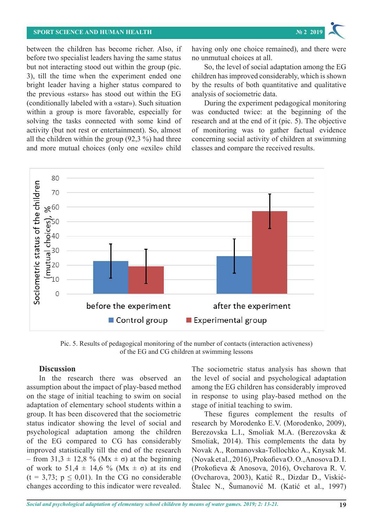

between the children has become richer. Also, if before two specialist leaders having the same status but not interacting stood out within the group (pic. So, the level of social adaptation among the 3), till the time when the experiment ended one children has improved considerably, which is sho bright leader having a higher status compared to by the results of both quantitative and qualitation the previous «stars» has stood out within the EG analysis of sociometric data. (conditionally labeled with a «star»). Such situation During the experiment pedagogical monitor within a group is more favorable, especially for was conducted twice: at the begin solving the tasks connected with some kind of research and at the end of it (pic. 5). The object activity (but not rest or entertainment). So, almost of monitoring was to gather all the children within the group (92,3 %) had three and more mutual choices (only one «exile» child classes and compare the received results. concerning social activity of children at swimming classes and compare the received results.

having only one choice remained), and there were no unmutual choices at all.

So, the level of social adaptation among the EG children has improved considerably, which is shown by the results of both quantitative and qualitative analysis of sociometric data.

During the experiment pedagogical monitoring was conducted twice: at the beginning of the research and at the end of it (pic. 5). The objective of monitoring was to gather factual evidence he children within the group  $(92,3\%)$  had three concerning social activity of children at swimming classes and compare the received results.



Pic. 5. Results of pedagogical monitoring of the number of contacts (interaction activeness) Pic. 5. Results of pedagogical monitoring of the number of contacts (interaction activeness) of the EG and CG children at swimming lessons of the EG and CG children at swimming lessons

# **Discussion Discussion**

changes according to this indicator were revealed. Stalec N., Sumanović M. (Katić et al., 1997) In the research there was observed an assumption about the impact of play-based method among the EG children has considerably impro on the stage of initial teaching to swim on social in response to using play-based method on adaptation of elementary school students within a stage of initial teaching to swim. group. It has been discovered that the sociometric These figures complement the results status indicator showing the level of social and research by Morodenko E.V. (Morodenko, 200). psychological adaptation among the children Berezovska L.I., Smoliak M.A. (Berezovska of the EG compared to CG has considerably Smoliak, 2014). This complements the data improved statistically till the end of the research Novak A., – from 31,3  $\pm$  12,8 % (Mx  $\pm$   $\sigma$ ) at the beginning of work to  $51.4 \pm 14.6$  % (Mx  $\pm \sigma$ ) at its end (Prokofieva & Anosova, 2016). Ovcharova R.  $(t = 3.73; p \le 0.01)$ . In the CG no considerable (Ovcharova, 2003), Katić R., Dizdar D., Visl changes according to this indicator were revealed.

The sociometric status analysis has shown that In the research there was observed an the level of social and psychological adaptation among the EG children has considerably improved in response to using play-based method on the stage of initial teaching to swim.

These figures complement the results of research by Morodenko Е.V. (Morodenko, 2009), Berezovska L.I., Smoliak M.A. (Berezovska & Smoliak, 2014). This complements the data by Novak А., Romanovska-Tollochko A., Knysak M. om 31,3  $\pm$  12,8 % (Mx  $\pm$   $\sigma$ ) at the beginning (Novaketal., 2016), Prokofieva O.O., Anosova D.I. (Prokofieva & Anosova, 2016), Ovcharova R. V. (Ovcharova, 2003), Katić R., Dizdar D., Viskić-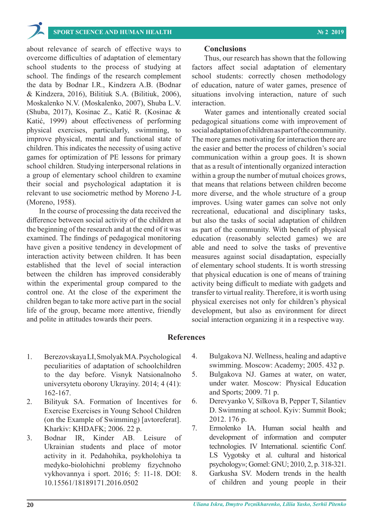about relevance of search of effective ways to overcome difficulties of adaptation of elementary school students to the process of studying at school. The findings of the research complement the data by Bodnar I.R., Kindzera A.B. (Bodnar & Kindzera, 2016), Bilitiuk S.A. (Bilitiuk, 2006), Moskalenko N.V. (Moskalenko, 2007), Shuba L.V. (Shuba, 2017), Kosinac Z., Katić R. (Kosinac & Katić, 1999) about effectiveness of performing physical exercises, particularly, swimming, to improve physical, mental and functional state of children. This indicates the necessity of using active games for optimization of PE lessons for primary school children. Studying interpersonal relations in a group of elementary school children to examine their social and psychological adaptation it is relevant to use sociometric method by Moreno J-L (Moreno, 1958).

In the course of processing the data received the difference between social activity of the children at the beginning of the research and at the end of it was examined. The findings of pedagogical monitoring have given a positive tendency in development of interaction activity between children. It has been established that the level of social interaction between the children has improved considerably within the experimental group compared to the control one. At the close of the experiment the children began to take more active part in the social life of the group, became more attentive, friendly and polite in attitudes towards their peers.

### **Conclusions**

Thus, our research has shown that the following factors affect social adaptation of elementary school students: correctly chosen methodology of education, nature of water games, presence of situations involving interaction, nature of such interaction.

Water games and intentionally created social pedagogical situations come with improvement of social adaptation of children as part of the community. The more games motivating for interaction there are the easier and better the process of children's social communication within a group goes. It is shown that as a result of intentionally organized interaction within a group the number of mutual choices grows, that means that relations between children become more diverse, and the whole structure of a group improves. Using water games can solve not only recreational, educational and disciplinary tasks, but also the tasks of social adaptation of children as part of the community. With benefit of physical education (reasonably selected games) we are able and need to solve the tasks of preventive measures against social disadaptation, especially of elementary school students. It is worth stressing that physical education is one of means of training activity being difficult to mediate with gadgets and transfer to virtual reality. Therefore, it is worth using physical exercises not only for children's physical development, but also as environment for direct social interaction organizing it in a respective way.

#### **References**

- 1. Berezovskaya LI, Smolyak MA. Psychological peculiarities of adaptation of schoolchildren to the day before. Visnyk Natsionalnoho universytetu oborony Ukrayiny. 2014; 4 (41): 162-167.
- 2. Bilityuk SA. Formation of Incentives for Exercise Exercises in Young School Children (on the Example of Swimming) [avtoreferat]. Kharkiv: KHDAFK; 2006. 22 p.
- 3. Bodnar IR, Kinder AB. Leisure of Ukrainian students and place of motor activity in it. Pedahohika, psykholohiya ta medyko-biolohichni problemy fizychnoho vykhovannya i sport. 2016; 5: 11-18. DOI: 10.15561/18189171.2016.0502
- 4. Bulgakova NJ. Wellness, healing and adaptive swimming. Moscow: Academy; 2005. 432 p.
- 5. Bulgakova NJ. Games at water, on water, under water. Moscow: Physical Education and Sports; 2009. 71 p.
- 6. Derevyanko V, Silkova B, Pepper T, Silantiev D. Swimming at school. Kyiv: Summit Book; 2012. 176 p.
- 7. Ermolenko IA. Human social health and development of information and computer technologies. IV International. scientific Conf. LS Vygotsky et al. cultural and historical psychology»; Gomel: GNU; 2010, 2, p. 318-321.
- 8. Garkusha SV. Modern trends in the health of children and young people in their